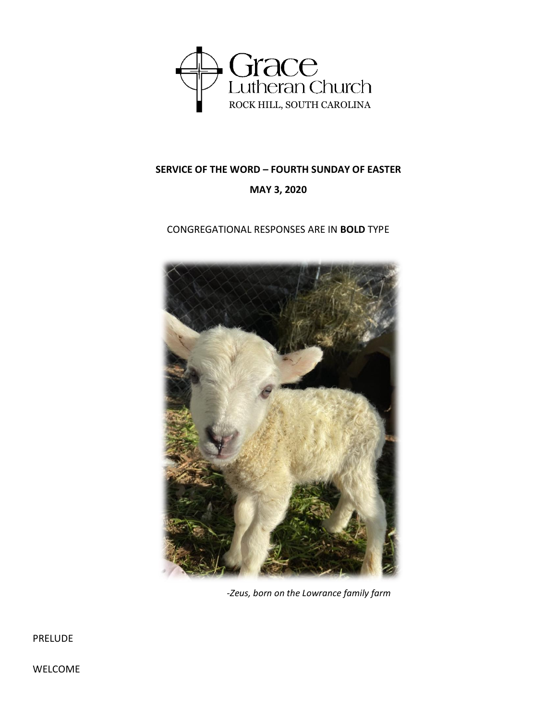

## **SERVICE OF THE WORD – FOURTH SUNDAY OF EASTER**

## **MAY 3, 2020**

## CONGREGATIONAL RESPONSES ARE IN **BOLD** TYPE



 *-Zeus, born on the Lowrance family farm*

PRELUDE

WELCOME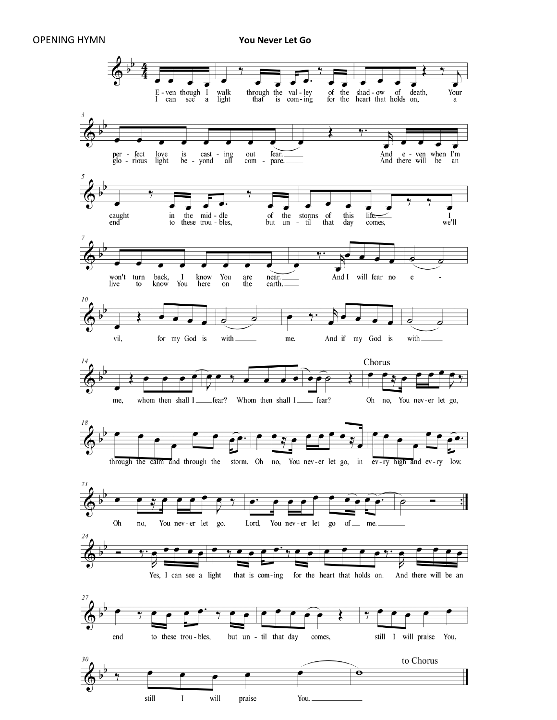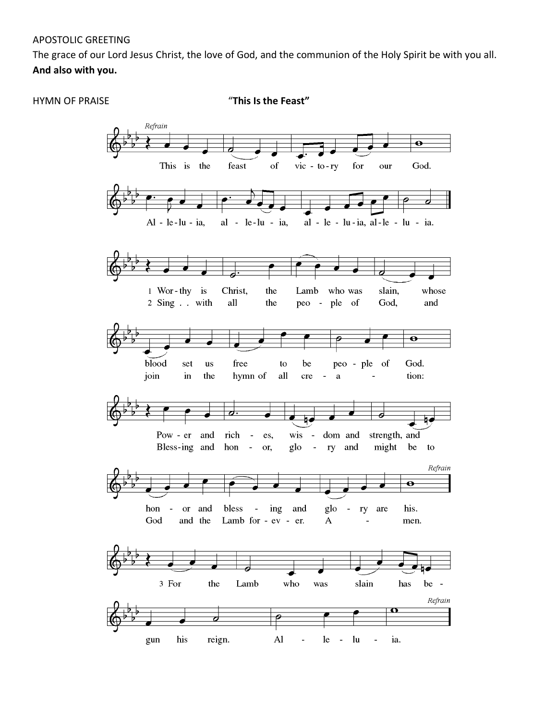## APOSTOLIC GREETING

The grace of our Lord Jesus Christ, the love of God, and the communion of the Holy Spirit be with you all. **And also with you.**

HYMN OF PRAISE "**This Is the Feast"**

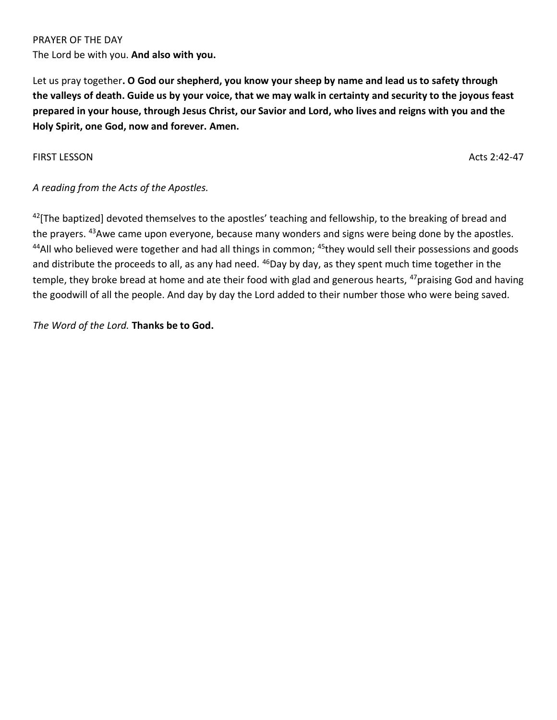## PRAYER OF THE DAY

The Lord be with you. **And also with you.**

Let us pray together**. O God our shepherd, you know your sheep by name and lead us to safety through the valleys of death. Guide us by your voice, that we may walk in certainty and security to the joyous feast prepared in your house, through Jesus Christ, our Savior and Lord, who lives and reigns with you and the Holy Spirit, one God, now and forever. Amen.**

## FIRST LESSON Acts 2:42-47

## *A reading from the Acts of the Apostles.*

 $42$ [The baptized] devoted themselves to the apostles' teaching and fellowship, to the breaking of bread and the prayers. <sup>43</sup>Awe came upon everyone, because many wonders and signs were being done by the apostles. <sup>44</sup>All who believed were together and had all things in common; <sup>45</sup>they would sell their possessions and goods and distribute the proceeds to all, as any had need. <sup>46</sup>Day by day, as they spent much time together in the temple, they broke bread at home and ate their food with glad and generous hearts, <sup>47</sup>praising God and having the goodwill of all the people. And day by day the Lord added to their number those who were being saved.

*The Word of the Lord.* **Thanks be to God.**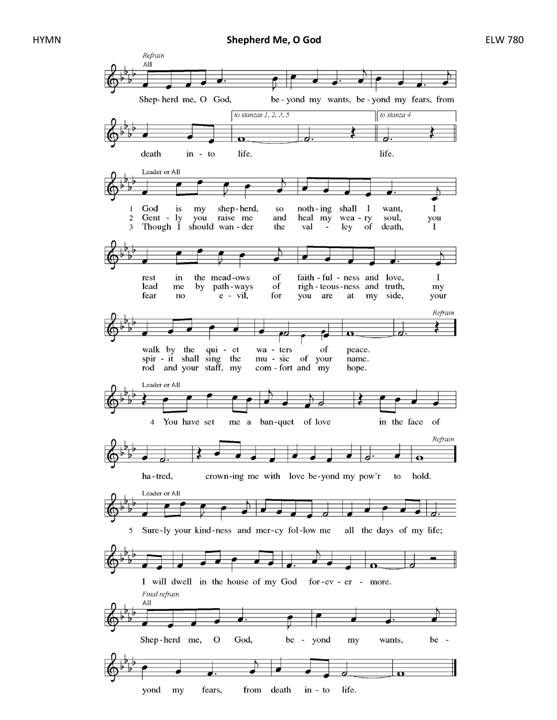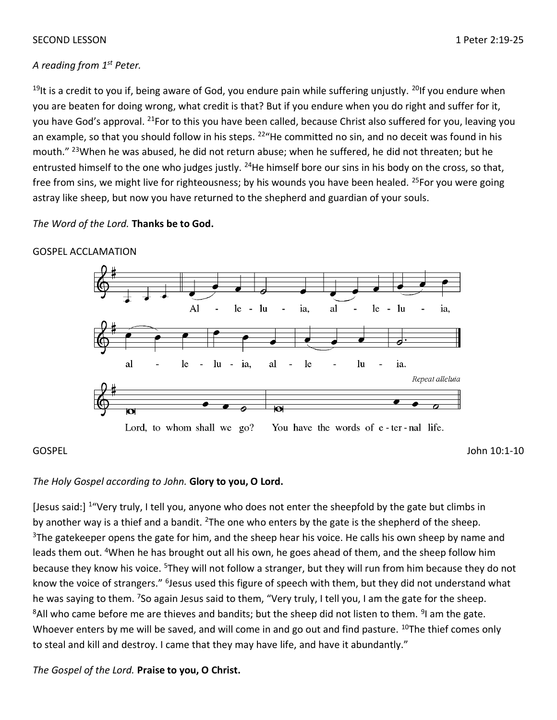## SECOND LESSON 1 Peter 2:19-25

# *A reading from 1 st Peter.*

<sup>19</sup>It is a credit to you if, being aware of God, you endure pain while suffering unjustly. <sup>20</sup>If you endure when you are beaten for doing wrong, what credit is that? But if you endure when you do right and suffer for it, you have God's approval. <sup>21</sup>For to this you have been called, because Christ also suffered for you, leaving you an example, so that you should follow in his steps. <sup>22</sup> He committed no sin, and no deceit was found in his mouth." <sup>23</sup>When he was abused, he did not return abuse; when he suffered, he did not threaten; but he entrusted himself to the one who judges justly. <sup>24</sup>He himself bore our sins in his body on the cross, so that, free from sins, we might live for righteousness; by his wounds you have been healed. <sup>25</sup>For you were going astray like sheep, but now you have returned to the shepherd and guardian of your souls.

## *The Word of the Lord.* **Thanks be to God.**



#### GOSPEL ACCLAMATION

# *The Holy Gospel according to John.* **Glory to you, O Lord.**

[Jesus said:] <sup>1</sup> "Very truly, I tell you, anyone who does not enter the sheepfold by the gate but climbs in by another way is a thief and a bandit. <sup>2</sup>The one who enters by the gate is the shepherd of the sheep. <sup>3</sup>The gatekeeper opens the gate for him, and the sheep hear his voice. He calls his own sheep by name and leads them out. <sup>4</sup>When he has brought out all his own, he goes ahead of them, and the sheep follow him because they know his voice. <sup>5</sup>They will not follow a stranger, but they will run from him because they do not know the voice of strangers." <sup>6</sup>Jesus used this figure of speech with them, but they did not understand what he was saying to them. <sup>7</sup>So again Jesus said to them, "Very truly, I tell you, I am the gate for the sheep.  ${}^{8}$ All who came before me are thieves and bandits; but the sheep did not listen to them.  ${}^{9}$ l am the gate. Whoever enters by me will be saved, and will come in and go out and find pasture.  $^{10}$ The thief comes only to steal and kill and destroy. I came that they may have life, and have it abundantly."

*The Gospel of the Lord.* **Praise to you, O Christ.**

GOSPEL John 10:1-10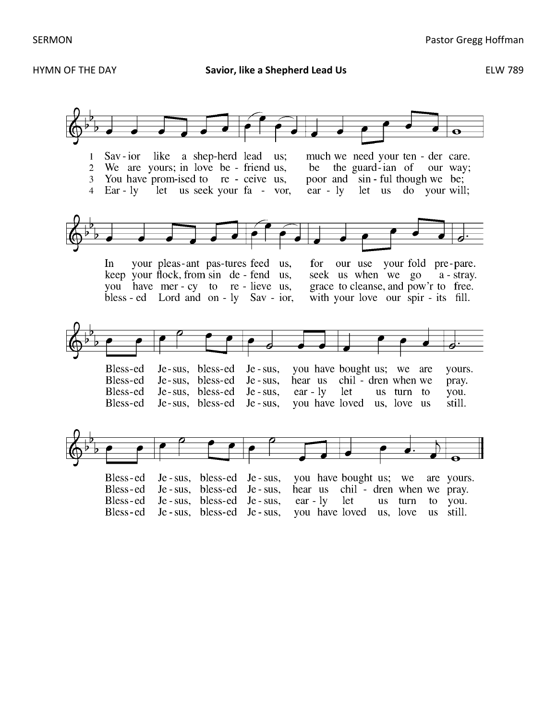**ELW 789** 

**HYMN OF THE DAY** Savior, like a Shepherd Lead Us like a shep-herd lead us; much we need your ten - der care.  $Sav$  - ior  $\mathbf{1}$ be the guard-ian of our way;  $\overline{2}$ We are yours; in love be - friend us, You have prom-ised to re - ceive us, poor and sin - ful though we be;  $3<sup>1</sup>$  $Ear - ly$ let us seek your fa - vor, ear - ly let us do your will;  $\overline{4}$ your pleas-ant pas-tures feed us, for our use your fold pre-pare.  $In$ seek us when we go keep your flock, from sin de - fend us, a - stray. you have mer-cy to re-lieve us, grace to cleanse, and pow'r to free. bless - ed Lord and on - ly Sav - ior, with your love our spir - its fill. Bless-ed Je-sus, bless-ed  $Je - sus$ , you have bought us; we are yours. Bless-ed Je-sus, bless-ed Je - sus, hear us chil - dren when we pray. Je-sus, bless-ed Bless-ed  $Je - sus.$  $ear - ly$ let us turn to you. Je-sus, bless-ed you have loved us, love us Bless-ed  $Je - sus$ , still. Bless-ed bless-ed Je-sus, you have bought us; we  $Je - sus$ , are vours. hear us chil - dren when we pray. Je-sus, bless-ed Je-sus, Bless-ed Bless-ed Je-sus, bless-ed Je-sus,  $ear - ly$ let you. us turn to Bless-ed Je-sus, bless-ed Je-sus, you have loved us, love us still.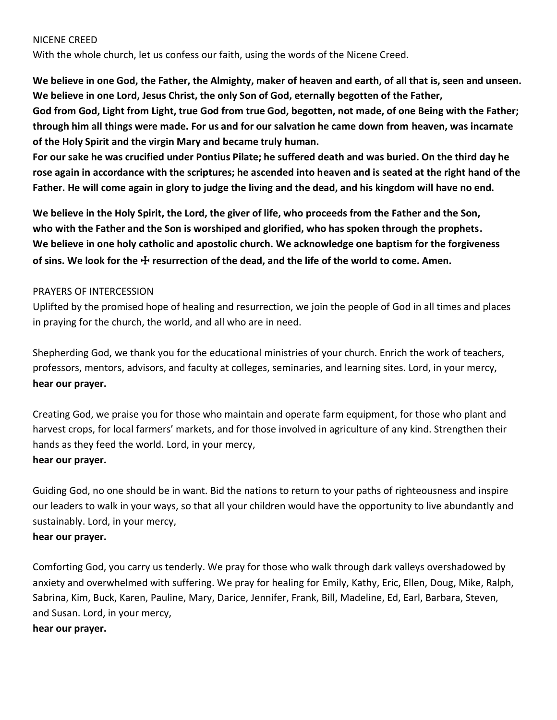## NICENE CREED

With the whole church, let us confess our faith, using the words of the Nicene Creed.

**We believe in one God, the Father, the Almighty, maker of heaven and earth, of all that is, seen and unseen. We believe in one Lord, Jesus Christ, the only Son of God, eternally begotten of the Father, God from God, Light from Light, true God from true God, begotten, not made, of one Being with the Father; through him all things were made. For us and for our salvation he came down from heaven, was incarnate of the Holy Spirit and the virgin Mary and became truly human.** 

**For our sake he was crucified under Pontius Pilate; he suffered death and was buried. On the third day he rose again in accordance with the scriptures; he ascended into heaven and is seated at the right hand of the Father. He will come again in glory to judge the living and the dead, and his kingdom will have no end.**

**We believe in the Holy Spirit, the Lord, the giver of life, who proceeds from the Father and the Son, who with the Father and the Son is worshiped and glorified, who has spoken through the prophets. We believe in one holy catholic and apostolic church. We acknowledge one baptism for the forgiveness of sins. We look for the** ☩ **resurrection of the dead, and the life of the world to come. Amen.** 

## PRAYERS OF INTERCESSION

Uplifted by the promised hope of healing and resurrection, we join the people of God in all times and places in praying for the church, the world, and all who are in need.

Shepherding God, we thank you for the educational ministries of your church. Enrich the work of teachers, professors, mentors, advisors, and faculty at colleges, seminaries, and learning sites. Lord, in your mercy, **hear our prayer.**

Creating God, we praise you for those who maintain and operate farm equipment, for those who plant and harvest crops, for local farmers' markets, and for those involved in agriculture of any kind. Strengthen their hands as they feed the world. Lord, in your mercy, **hear our prayer.**

Guiding God, no one should be in want. Bid the nations to return to your paths of righteousness and inspire our leaders to walk in your ways, so that all your children would have the opportunity to live abundantly and sustainably. Lord, in your mercy,

## **hear our prayer.**

Comforting God, you carry us tenderly. We pray for those who walk through dark valleys overshadowed by anxiety and overwhelmed with suffering. We pray for healing for Emily, Kathy, Eric, Ellen, Doug, Mike, Ralph, Sabrina, Kim, Buck, Karen, Pauline, Mary, Darice, Jennifer, Frank, Bill, Madeline, Ed, Earl, Barbara, Steven, and Susan. Lord, in your mercy,

## **hear our prayer.**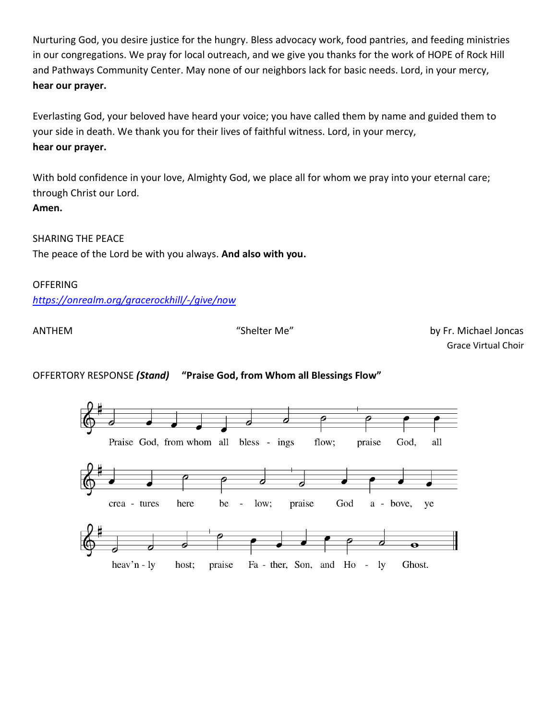Nurturing God, you desire justice for the hungry. Bless advocacy work, food pantries, and feeding ministries in our congregations. We pray for local outreach, and we give you thanks for the work of HOPE of Rock Hill and Pathways Community Center. May none of our neighbors lack for basic needs. Lord, in your mercy, **hear our prayer.**

Everlasting God, your beloved have heard your voice; you have called them by name and guided them to your side in death. We thank you for their lives of faithful witness. Lord, in your mercy, **hear our prayer.**

With bold confidence in your love, Almighty God, we place all for whom we pray into your eternal care; through Christ our Lord.

**Amen.**

SHARING THE PEACE The peace of the Lord be with you always. **And also with you.**

## OFFERING

*<https://onrealm.org/gracerockhill/-/give/now>*

ANTHEM THEM THEM THEM SHELL THE "Shelter Me" The Contract of the by Fr. Michael Joncas Grace Virtual Choir

# OFFERTORY RESPONSE *(Stand)* **"Praise God, from Whom all Blessings Flow"**

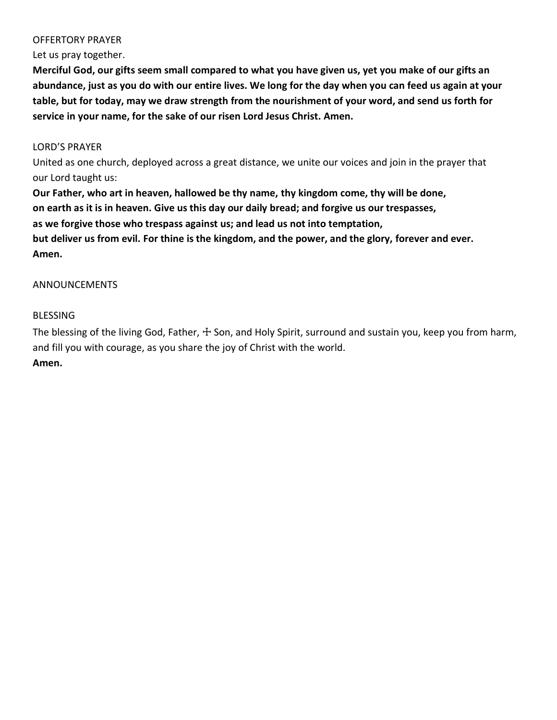## OFFERTORY PRAYER

## Let us pray together.

Merciful God, our gifts seem small compared to what you have given us, yet you make of our gifts an abundance, just as you do with our entire lives. We long for the day when you can feed us again at your table, but for today, may we draw strength from the nourishment of your word, and send us forth for **service in your name, for the sake of our risen Lord Jesus Christ. Amen.**

#### LORD'S PRAYER

United as one church, deployed across a great distance, we unite our voices and join in the prayer that our Lord taught us:

**Our Father, who art in heaven, hallowed be thy name, thy kingdom come, thy will be done, on earth as it is in heaven. Give us this day our daily bread; and forgive us our trespasses, as we forgive those who trespass against us; and lead us not into temptation, but deliver us from evil. For thine is the kingdom, and the power, and the glory, forever and ever. Amen.**

## ANNOUNCEMENTS

#### BLESSING

The blessing of the living God, Father,  $�}$  Son, and Holy Spirit, surround and sustain you, keep you from harm, and fill you with courage, as you share the joy of Christ with the world. **Amen.**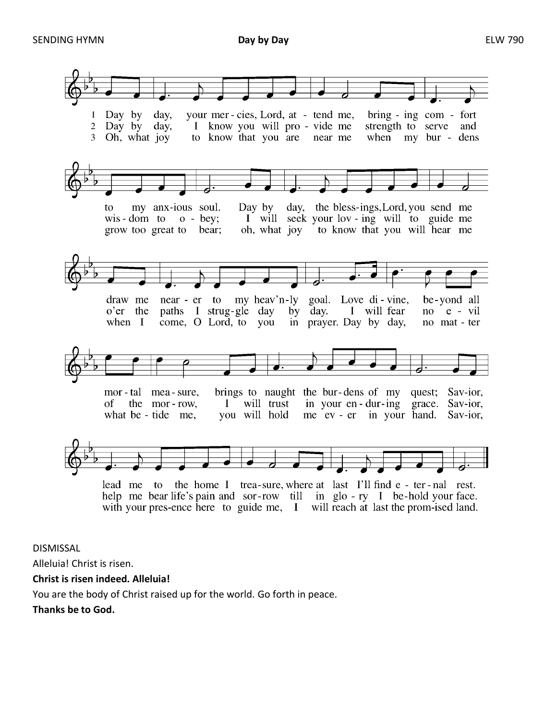

DISMISSAL

Alleluia! Christ is risen.

#### **Christ is risen indeed. Alleluia!**

You are the body of Christ raised up for the world. Go forth in peace.

**Thanks be to God.**